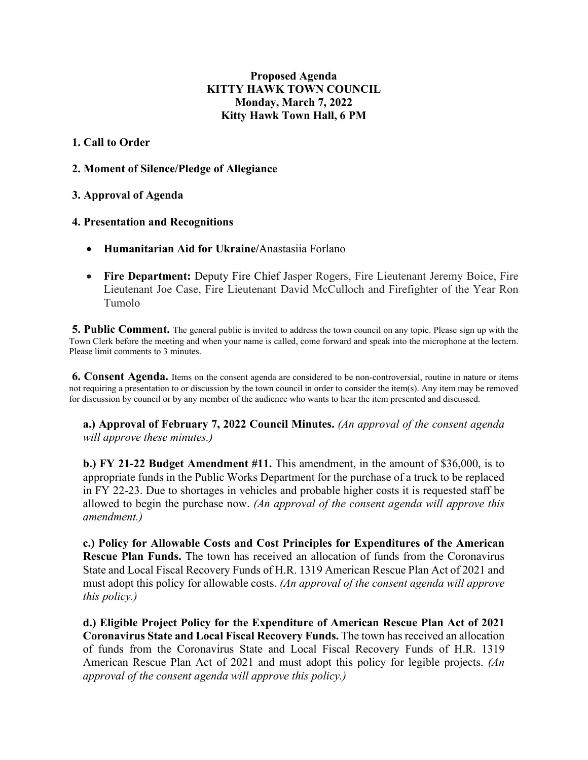# **Proposed Agenda KITTY HAWK TOWN COUNCIL Monday, March 7, 2022 Kitty Hawk Town Hall, 6 PM**

# **1. Call to Order**

# **2. Moment of Silence/Pledge of Allegiance**

# **3. Approval of Agenda**

## **4. Presentation and Recognitions**

- **Humanitarian Aid for Ukraine/**Anastasiia Forlano
- **Fire Department:** Deputy Fire Chief Jasper Rogers, Fire Lieutenant Jeremy Boice, Fire Lieutenant Joe Case, Fire Lieutenant David McCulloch and Firefighter of the Year Ron Tumolo

**5. Public Comment.** The general public is invited to address the town council on any topic. Please sign up with the Town Clerk before the meeting and when your name is called, come forward and speak into the microphone at the lectern. Please limit comments to 3 minutes.

**6. Consent Agenda.** Items on the consent agenda are considered to be non-controversial, routine in nature or items not requiring a presentation to or discussion by the town council in order to consider the item(s). Any item may be removed for discussion by council or by any member of the audience who wants to hear the item presented and discussed.

**a.) Approval of February 7, 2022 Council Minutes.** *(An approval of the consent agenda will approve these minutes.)* 

**b.) FY 21-22 Budget Amendment #11.** This amendment, in the amount of \$36,000, is to appropriate funds in the Public Works Department for the purchase of a truck to be replaced in FY 22-23. Due to shortages in vehicles and probable higher costs it is requested staff be allowed to begin the purchase now. *(An approval of the consent agenda will approve this amendment.)* 

**c.) Policy for Allowable Costs and Cost Principles for Expenditures of the American Rescue Plan Funds.** The town has received an allocation of funds from the Coronavirus State and Local Fiscal Recovery Funds of H.R. 1319 American Rescue Plan Act of 2021 and must adopt this policy for allowable costs. *(An approval of the consent agenda will approve this policy.)* 

**d.) Eligible Project Policy for the Expenditure of American Rescue Plan Act of 2021 Coronavirus State and Local Fiscal Recovery Funds.** The town has received an allocation of funds from the Coronavirus State and Local Fiscal Recovery Funds of H.R. 1319 American Rescue Plan Act of 2021 and must adopt this policy for legible projects. *(An approval of the consent agenda will approve this policy.)*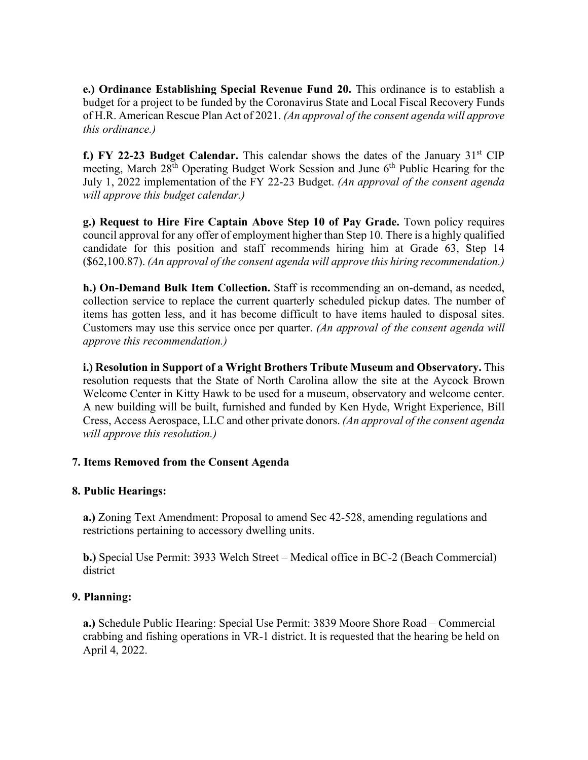**e.) Ordinance Establishing Special Revenue Fund 20.** This ordinance is to establish a budget for a project to be funded by the Coronavirus State and Local Fiscal Recovery Funds of H.R. American Rescue Plan Act of 2021. *(An approval of the consent agenda will approve this ordinance.)* 

**f.) FY 22-23 Budget Calendar.** This calendar shows the dates of the January 31<sup>st</sup> CIP meeting, March 28<sup>th</sup> Operating Budget Work Session and June 6<sup>th</sup> Public Hearing for the July 1, 2022 implementation of the FY 22-23 Budget. *(An approval of the consent agenda will approve this budget calendar.)* 

**g.) Request to Hire Fire Captain Above Step 10 of Pay Grade.** Town policy requires council approval for any offer of employment higher than Step 10. There is a highly qualified candidate for this position and staff recommends hiring him at Grade 63, Step 14 (\$62,100.87). *(An approval of the consent agenda will approve this hiring recommendation.)* 

**h.) On-Demand Bulk Item Collection.** Staff is recommending an on-demand, as needed, collection service to replace the current quarterly scheduled pickup dates. The number of items has gotten less, and it has become difficult to have items hauled to disposal sites. Customers may use this service once per quarter. *(An approval of the consent agenda will approve this recommendation.)* 

**i.) Resolution in Support of a Wright Brothers Tribute Museum and Observatory.** This resolution requests that the State of North Carolina allow the site at the Aycock Brown Welcome Center in Kitty Hawk to be used for a museum, observatory and welcome center. A new building will be built, furnished and funded by Ken Hyde, Wright Experience, Bill Cress, Access Aerospace, LLC and other private donors. *(An approval of the consent agenda will approve this resolution.)* 

# **7. Items Removed from the Consent Agenda**

# **8. Public Hearings:**

**a.)** Zoning Text Amendment: Proposal to amend Sec 42-528, amending regulations and restrictions pertaining to accessory dwelling units.

**b.)** Special Use Permit: 3933 Welch Street – Medical office in BC-2 (Beach Commercial) district

# **9. Planning:**

**a.)** Schedule Public Hearing: Special Use Permit: 3839 Moore Shore Road – Commercial crabbing and fishing operations in VR-1 district. It is requested that the hearing be held on April 4, 2022.